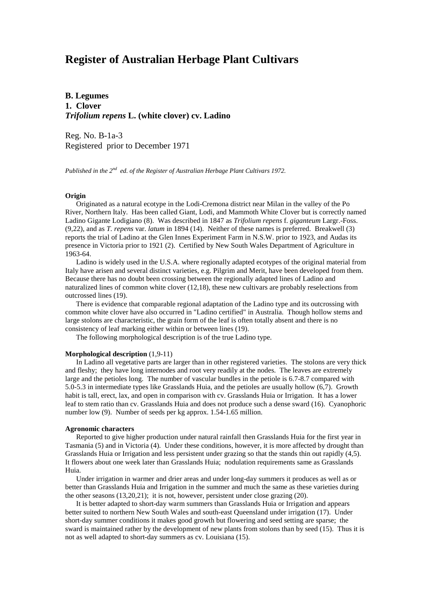# **Register of Australian Herbage Plant Cultivars**

**B. Legumes 1. Clover** *Trifolium repens* **L. (white clover) cv. Ladino**

Reg. No. B-1a-3 Registered prior to December 1971

*Published in the 2nd ed. of the Register of Australian Herbage Plant Cultivars 1972.*

## **Origin**

 Originated as a natural ecotype in the Lodi-Cremona district near Milan in the valley of the Po River, Northern Italy. Has been called Giant, Lodi, and Mammoth White Clover but is correctly named Ladino Gigante Lodigiano (8). Was described in 1847 as *Trifolium repens* f. *giganteum* Largr.-Foss. (9,22), and as *T. repens* var. *latum* in 1894 (14). Neither of these names is preferred. Breakwell (3) reports the trial of Ladino at the Glen Innes Experiment Farm in N.S.W. prior to 1923, and Audas its presence in Victoria prior to 1921 (2). Certified by New South Wales Department of Agriculture in 1963-64.

 Ladino is widely used in the U.S.A. where regionally adapted ecotypes of the original material from Italy have arisen and several distinct varieties, e.g. Pilgrim and Merit, have been developed from them. Because there has no doubt been crossing between the regionally adapted lines of Ladino and naturalized lines of common white clover (12,18), these new cultivars are probably reselections from outcrossed lines (19).

 There is evidence that comparable regional adaptation of the Ladino type and its outcrossing with common white clover have also occurred in "Ladino certified" in Australia. Though hollow stems and large stolons are characteristic, the grain form of the leaf is often totally absent and there is no consistency of leaf marking either within or between lines (19).

The following morphological description is of the true Ladino type.

## **Morphological description** (1,9-11)

 In Ladino all vegetative parts are larger than in other registered varieties. The stolons are very thick and fleshy; they have long internodes and root very readily at the nodes. The leaves are extremely large and the petioles long. The number of vascular bundles in the petiole is 6.7-8.7 compared with 5.0-5.3 in intermediate types like Grasslands Huia, and the petioles are usually hollow (6,7). Growth habit is tall, erect, lax, and open in comparison with cv. Grasslands Huia or Irrigation. It has a lower leaf to stem ratio than cv. Grasslands Huia and does not produce such a dense sward (16). Cyanophoric number low (9). Number of seeds per kg approx. 1.54-1.65 million.

#### **Agronomic characters**

 Reported to give higher production under natural rainfall then Grasslands Huia for the first year in Tasmania (5) and in Victoria (4). Under these conditions, however, it is more affected by drought than Grasslands Huia or Irrigation and less persistent under grazing so that the stands thin out rapidly (4,5). It flowers about one week later than Grasslands Huia; nodulation requirements same as Grasslands Huia.

 Under irrigation in warmer and drier areas and under long-day summers it produces as well as or better than Grasslands Huia and Irrigation in the summer and much the same as these varieties during the other seasons (13,20,21); it is not, however, persistent under close grazing (20).

 It is better adapted to short-day warm summers than Grasslands Huia or Irrigation and appears better suited to northern New South Wales and south-east Queensland under irrigation (17). Under short-day summer conditions it makes good growth but flowering and seed setting are sparse; the sward is maintained rather by the development of new plants from stolons than by seed (15). Thus it is not as well adapted to short-day summers as cv. Louisiana (15).